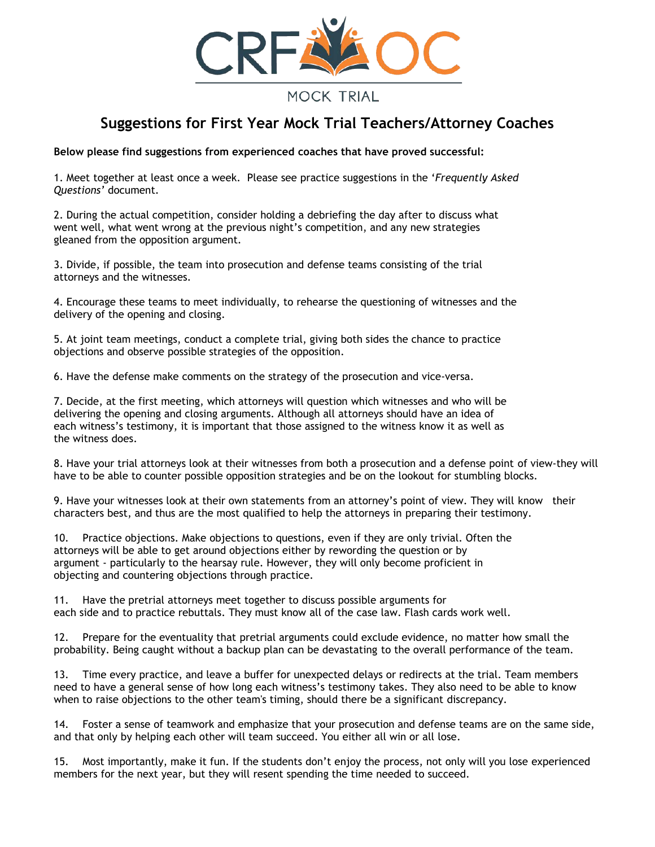

## **MOCK TRIAL**

# **Suggestions for First Year Mock Trial Teachers/Attorney Coaches**

**Below please find suggestions from experienced coaches that have proved successful:** 

1. Meet together at least once a week. Please see practice suggestions in the '*Frequently Asked Questions'* document.

2. During the actual competition, consider holding a debriefing the day after to discuss what went well, what went wrong at the previous night's competition, and any new strategies gleaned from the opposition argument.

3. Divide, if possible, the team into prosecution and defense teams consisting of the trial attorneys and the witnesses.

4. Encourage these teams to meet individually, to rehearse the questioning of witnesses and the delivery of the opening and closing.

5. At joint team meetings, conduct a complete trial, giving both sides the chance to practice objections and observe possible strategies of the opposition.

6. Have the defense make comments on the strategy of the prosecution and vice-versa.

7. Decide, at the first meeting, which attorneys will question which witnesses and who will be delivering the opening and closing arguments. Although all attorneys should have an idea of each witness's testimony, it is important that those assigned to the witness know it as well as the witness does.

8. Have your trial attorneys look at their witnesses from both a prosecution and a defense point of view-they will have to be able to counter possible opposition strategies and be on the lookout for stumbling blocks.

9. Have your witnesses look at their own statements from an attorney's point of view. They will know their characters best, and thus are the most qualified to help the attorneys in preparing their testimony.

10. Practice objections. Make objections to questions, even if they are only trivial. Often the attorneys will be able to get around objections either by rewording the question or by argument - particularly to the hearsay rule. However, they will only become proficient in objecting and countering objections through practice.

11. Have the pretrial attorneys meet together to discuss possible arguments for each side and to practice rebuttals. They must know all of the case law. Flash cards work well.

12. Prepare for the eventuality that pretrial arguments could exclude evidence, no matter how small the probability. Being caught without a backup plan can be devastating to the overall performance of the team.

13. Time every practice, and leave a buffer for unexpected delays or redirects at the trial. Team members need to have a general sense of how long each witness's testimony takes. They also need to be able to know when to raise objections to the other team's timing, should there be a significant discrepancy.

14. Foster a sense of teamwork and emphasize that your prosecution and defense teams are on the same side, and that only by helping each other will team succeed. You either all win or all lose.

15. Most importantly, make it fun. If the students don't enjoy the process, not only will you lose experienced members for the next year, but they will resent spending the time needed to succeed.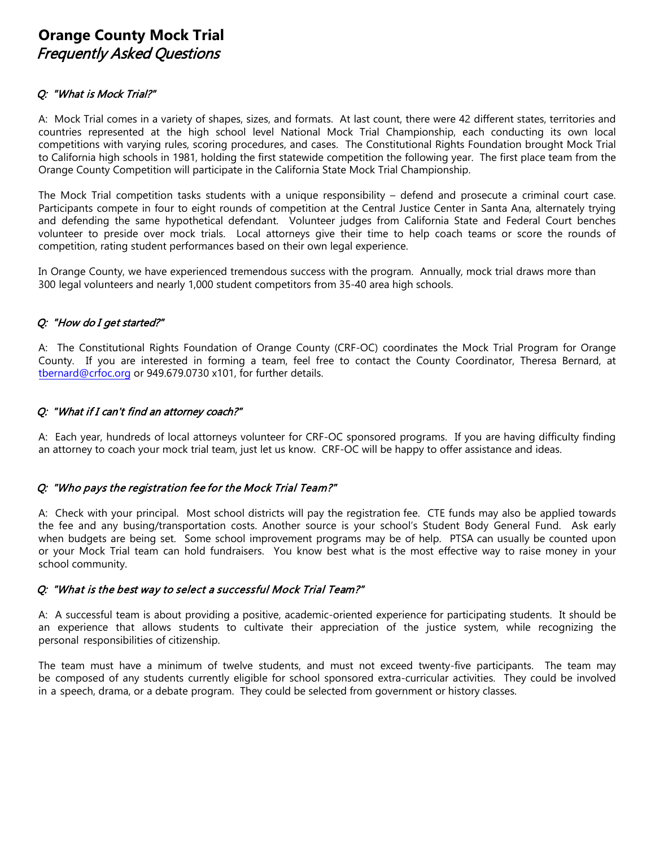## **Orange County Mock Trial** Frequently Asked Questions

#### Q: "What is Mock Trial?"

A: Mock Trial comes in a variety of shapes, sizes, and formats. At last count, there were 42 different states, territories and countries represented at the high school level National Mock Trial Championship, each conducting its own local competitions with varying rules, scoring procedures, and cases. The Constitutional Rights Foundation brought Mock Trial to California high schools in 1981, holding the first statewide competition the following year. The first place team from the Orange County Competition will participate in the California State Mock Trial Championship.

The Mock Trial competition tasks students with a unique responsibility – defend and prosecute a criminal court case. Participants compete in four to eight rounds of competition at the Central Justice Center in Santa Ana, alternately trying and defending the same hypothetical defendant. Volunteer judges from California State and Federal Court benches volunteer to preside over mock trials. Local attorneys give their time to help coach teams or score the rounds of competition, rating student performances based on their own legal experience.

In Orange County, we have experienced tremendous success with the program. Annually, mock trial draws more than 300 legal volunteers and nearly 1,000 student competitors from 35-40 area high schools.

#### Q: "How do I get started?"

A: The Constitutional Rights Foundation of Orange County (CRF-OC) coordinates the Mock Trial Program for Orange County. If you are interested in forming a team, feel free to contact the County Coordinator, Theresa Bernard, at tbernard@crfoc.org or 949.679.0730 x101, for further details.

#### Q: "What if I can't find an attorney coach?"

A: Each year, hundreds of local attorneys volunteer for CRF-OC sponsored programs. If you are having difficulty finding an attorney to coach your mock trial team, just let us know. CRF-OC will be happy to offer assistance and ideas.

## Q: "Who pays the registration fee for the Mock Trial Team?"

A: Check with your principal. Most school districts will pay the registration fee. CTE funds may also be applied towards the fee and any busing/transportation costs. Another source is your school's Student Body General Fund. Ask early when budgets are being set. Some school improvement programs may be of help. PTSA can usually be counted upon or your Mock Trial team can hold fundraisers. You know best what is the most effective way to raise money in your school community.

#### Q: "What is the best way to select a successful Mock Trial Team?"

A:A successful team is about providing a positive, academic-oriented experience for participating students. It should be an experience that allows students to cultivate their appreciation of the justice system, while recognizing the personal responsibilities of citizenship.

The team must have a minimum of twelve students, and must not exceed twenty-five participants. The team may be composed of any students currently eligible for school sponsored extra-curricular activities. They could be involved in a speech, drama, or a debate program. They could be selected from government or history classes.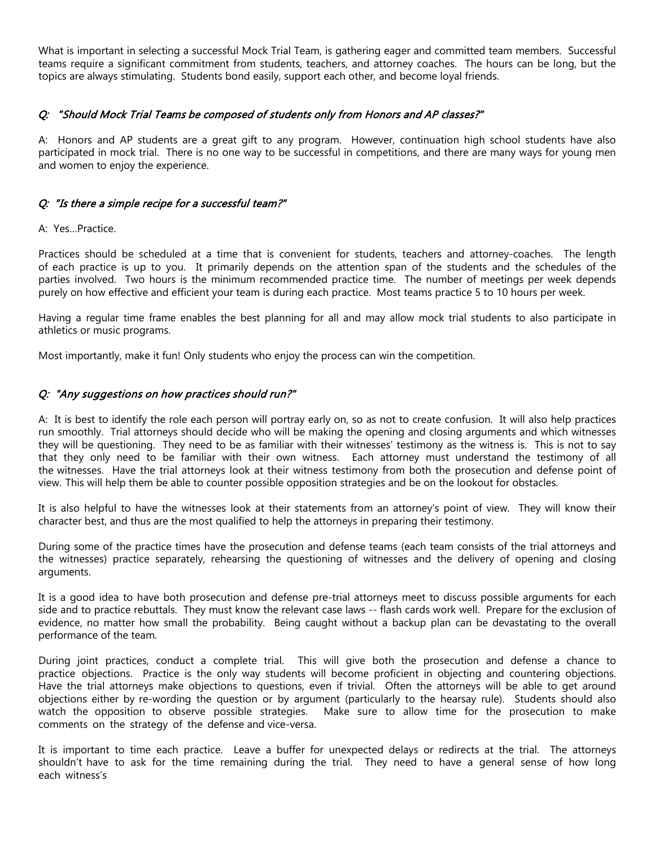What is important in selecting a successful Mock Trial Team, is gathering eager and committed team members. Successful teams require a significant commitment from students, teachers, and attorney coaches. The hours can be long, but the topics are always stimulating. Students bond easily, support each other, and become loyal friends.

#### Q: "Should Mock Trial Teams be composed of students only from Honors and AP classes?"

A: Honors and AP students are a great gift to any program. However, continuation high school students have also participated in mock trial. There is no one way to be successful in competitions, and there are many ways for young men and women to enjoy the experience.

#### Q: "Is there a simple recipe for a successful team?"

#### A: Yes…Practice.

Practices should be scheduled at a time that is convenient for students, teachers and attorney-coaches. The length of each practice is up to you. It primarily depends on the attention span of the students and the schedules of the parties involved. Two hours is the minimum recommended practice time. The number of meetings per week depends purely on how effective and efficient your team is during each practice. Most teams practice 5 to 10 hours per week.

Having a regular time frame enables the best planning for all and may allow mock trial students to also participate in athletics or music programs.

Most importantly, make it fun! Only students who enjoy the process can win the competition.

#### Q: "Any suggestions on how practices should run?"

A: It is best to identify the role each person will portray early on, so as not to create confusion. It will also help practices run smoothly. Trial attorneys should decide who will be making the opening and closing arguments and which witnesses they will be questioning. They need to be as familiar with their witnesses' testimony as the witness is. This is not to say that they only need to be familiar with their own witness. Each attorney must understand the testimony of all the witnesses. Have the trial attorneys look at their witness testimony from both the prosecution and defense point of view. This will help them be able to counter possible opposition strategies and be on the lookout for obstacles.

It is also helpful to have the witnesses look at their statements from an attorney's point of view. They will know their character best, and thus are the most qualified to help the attorneys in preparing their testimony.

During some of the practice times have the prosecution and defense teams (each team consists of the trial attorneys and the witnesses) practice separately, rehearsing the questioning of witnesses and the delivery of opening and closing arguments.

It is a good idea to have both prosecution and defense pre-trial attorneys meet to discuss possible arguments for each side and to practice rebuttals. They must know the relevant case laws -- flash cards work well. Prepare for the exclusion of evidence, no matter how small the probability. Being caught without a backup plan can be devastating to the overall performance of the team.

During joint practices, conduct a complete trial. This will give both the prosecution and defense a chance to practice objections. Practice is the only way students will become proficient in objecting and countering objections. Have the trial attorneys make objections to questions, even if trivial. Often the attorneys will be able to get around objections either by re-wording the question or by argument (particularly to the hearsay rule). Students should also watch the opposition to observe possible strategies. Make sure to allow time for the prosecution to make comments on the strategy of the defense and vice-versa.

It is important to time each practice. Leave a buffer for unexpected delays or redirects at the trial. The attorneys shouldn't have to ask for the time remaining during the trial. They need to have a general sense of how long each witness's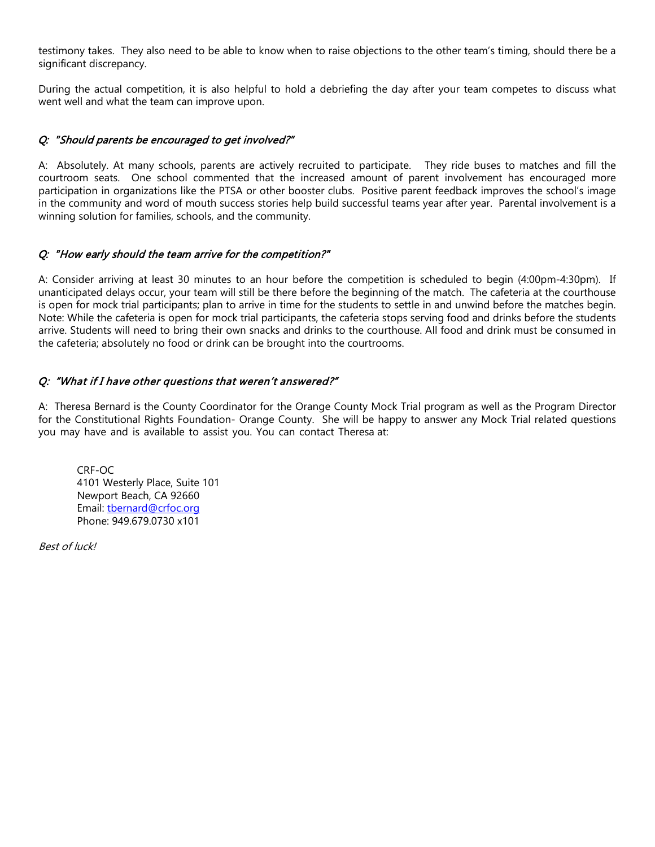testimony takes. They also need to be able to know when to raise objections to the other team's timing, should there be a significant discrepancy.

During the actual competition, it is also helpful to hold a debriefing the day after your team competes to discuss what went well and what the team can improve upon.

#### Q: "Should parents be encouraged to get involved?"

A: Absolutely. At many schools, parents are actively recruited to participate. They ride buses to matches and fill the courtroom seats. One school commented that the increased amount of parent involvement has encouraged more participation in organizations like the PTSA or other booster clubs. Positive parent feedback improves the school's image in the community and word of mouth success stories help build successful teams year after year. Parental involvement is a winning solution for families, schools, and the community.

#### Q: "How early should the team arrive for the competition?"

A: Consider arriving at least 30 minutes to an hour before the competition is scheduled to begin (4:00pm-4:30pm). If unanticipated delays occur, your team will still be there before the beginning of the match. The cafeteria at the courthouse is open for mock trial participants; plan to arrive in time for the students to settle in and unwind before the matches begin. Note: While the cafeteria is open for mock trial participants, the cafeteria stops serving food and drinks before the students arrive. Students will need to bring their own snacks and drinks to the courthouse. All food and drink must be consumed in the cafeteria; absolutely no food or drink can be brought into the courtrooms.

#### Q: "What if I have other questions that weren't answered?"

A: Theresa Bernard is the County Coordinator for the Orange County Mock Trial program as well as the Program Director for the Constitutional Rights Foundation- Orange County. She will be happy to answer any Mock Trial related questions you may have and is available to assist you. You can contact Theresa at:

CRF-OC 4101 Westerly Place, Suite 101 Newport Beach, CA 92660 Email: tbernard@crfoc.org Phone: 949.679.0730 x101

Best of luck!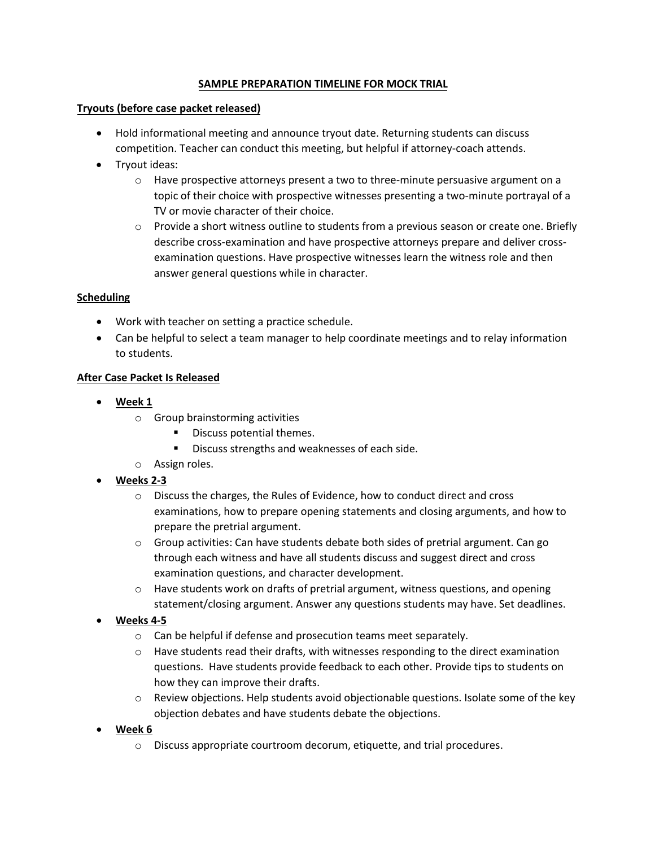## **SAMPLE PREPARATION TIMELINE FOR MOCK TRIAL**

#### **Tryouts (before case packet released)**

- Hold informational meeting and announce tryout date. Returning students can discuss competition. Teacher can conduct this meeting, but helpful if attorney-coach attends.
- Tryout ideas:
	- $\circ$  Have prospective attorneys present a two to three-minute persuasive argument on a topic of their choice with prospective witnesses presenting a two-minute portrayal of a TV or movie character of their choice.
	- o Provide a short witness outline to students from a previous season or create one. Briefly describe cross-examination and have prospective attorneys prepare and deliver crossexamination questions. Have prospective witnesses learn the witness role and then answer general questions while in character.

## **Scheduling**

- Work with teacher on setting a practice schedule.
- Can be helpful to select a team manager to help coordinate meetings and to relay information to students.

## **After Case Packet Is Released**

- **Week 1**
	- o Group brainstorming activities
		- Discuss potential themes.
		- Discuss strengths and weaknesses of each side.
	- o Assign roles.
- **Weeks 2-3**
	- o Discuss the charges, the Rules of Evidence, how to conduct direct and cross examinations, how to prepare opening statements and closing arguments, and how to prepare the pretrial argument.
	- $\circ$  Group activities: Can have students debate both sides of pretrial argument. Can go through each witness and have all students discuss and suggest direct and cross examination questions, and character development.
	- $\circ$  Have students work on drafts of pretrial argument, witness questions, and opening statement/closing argument. Answer any questions students may have. Set deadlines.
- **Weeks 4-5**
	- o Can be helpful if defense and prosecution teams meet separately.
	- $\circ$  Have students read their drafts, with witnesses responding to the direct examination questions. Have students provide feedback to each other. Provide tips to students on how they can improve their drafts.
	- $\circ$  Review objections. Help students avoid objectionable questions. Isolate some of the key objection debates and have students debate the objections.
- **Week 6**
	- o Discuss appropriate courtroom decorum, etiquette, and trial procedures.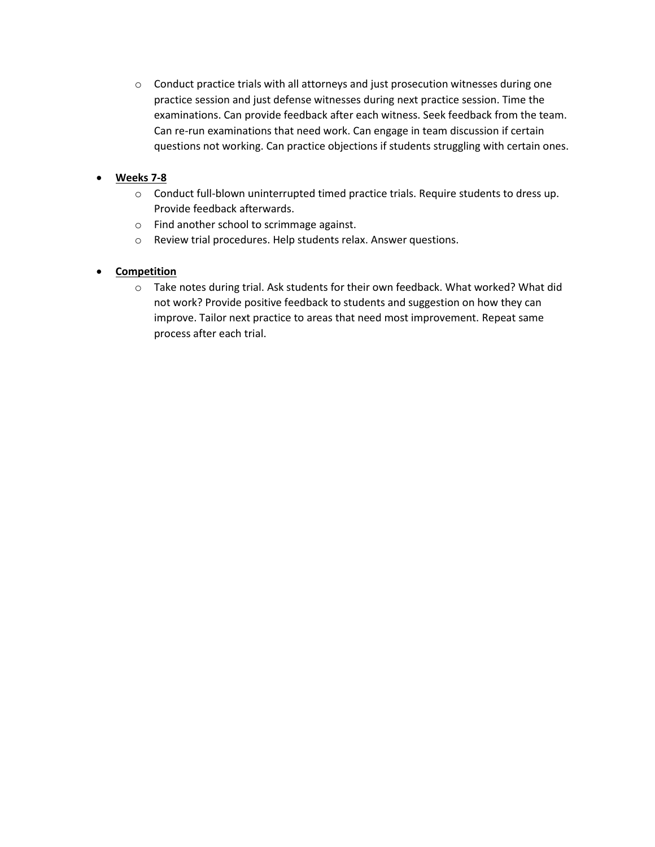$\circ$  Conduct practice trials with all attorneys and just prosecution witnesses during one practice session and just defense witnesses during next practice session. Time the examinations. Can provide feedback after each witness. Seek feedback from the team. Can re-run examinations that need work. Can engage in team discussion if certain questions not working. Can practice objections if students struggling with certain ones.

## **Weeks 7-8**

- o Conduct full-blown uninterrupted timed practice trials. Require students to dress up. Provide feedback afterwards.
- o Find another school to scrimmage against.
- o Review trial procedures. Help students relax. Answer questions.

## **Competition**

o Take notes during trial. Ask students for their own feedback. What worked? What did not work? Provide positive feedback to students and suggestion on how they can improve. Tailor next practice to areas that need most improvement. Repeat same process after each trial.